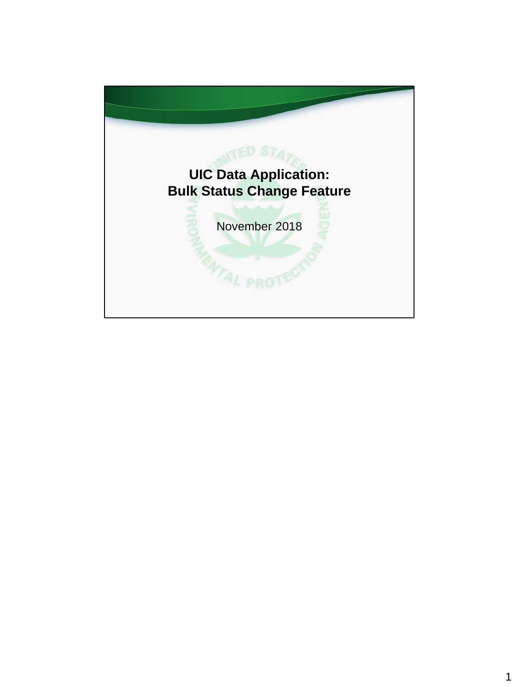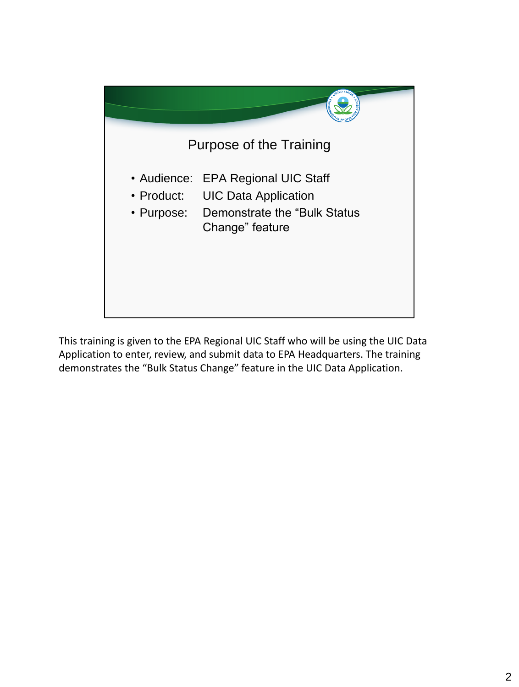

This training is given to the EPA Regional UIC Staff who will be using the UIC Data Application to enter, review, and submit data to EPA Headquarters. The training demonstrates the "Bulk Status Change" feature in the UIC Data Application.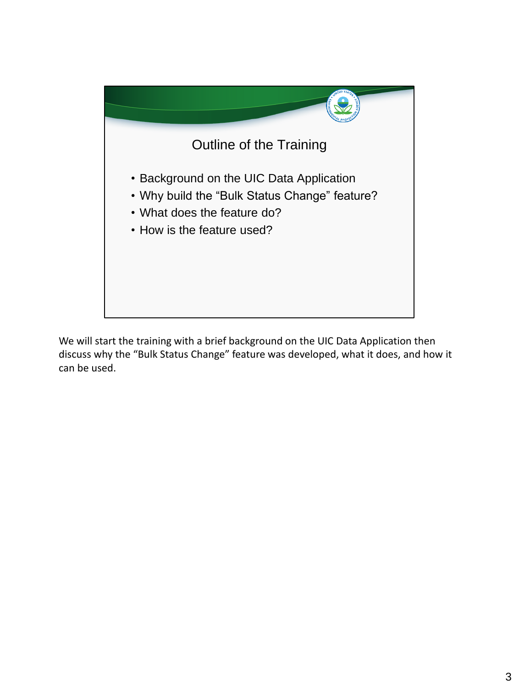

We will start the training with a brief background on the UIC Data Application then discuss why the "Bulk Status Change" feature was developed, what it does, and how it can be used.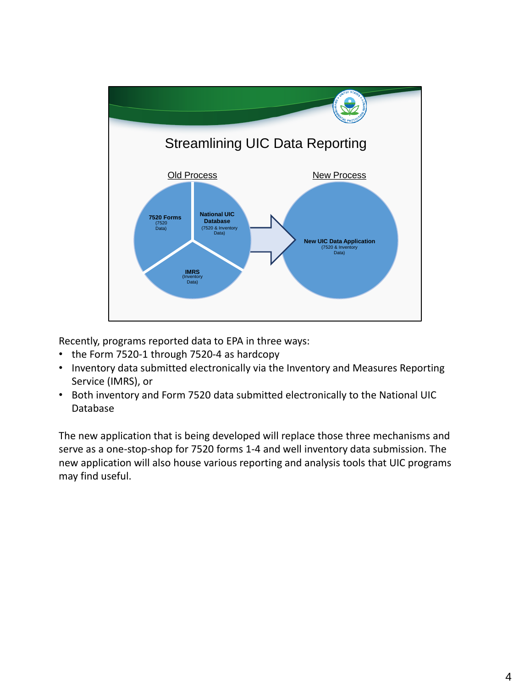

Recently, programs reported data to EPA in three ways:

- the Form 7520-1 through 7520-4 as hardcopy
- Inventory data submitted electronically via the Inventory and Measures Reporting Service (IMRS), or
- Both inventory and Form 7520 data submitted electronically to the National UIC Database

The new application that is being developed will replace those three mechanisms and serve as a one-stop-shop for 7520 forms 1-4 and well inventory data submission. The new application will also house various reporting and analysis tools that UIC programs may find useful.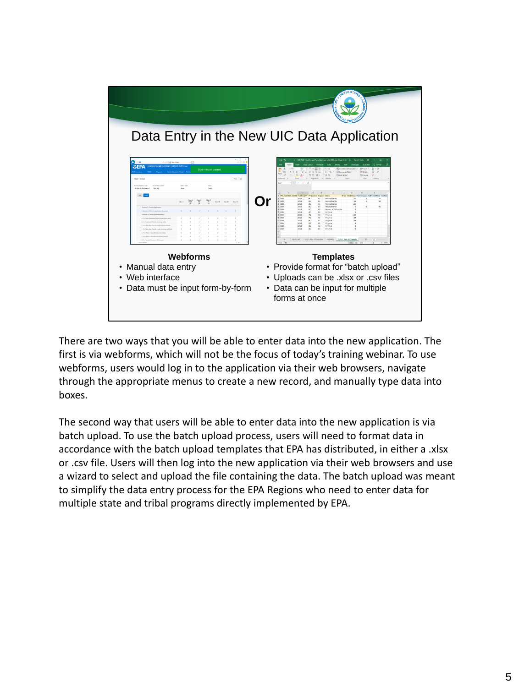

There are two ways that you will be able to enter data into the new application. The first is via webforms, which will not be the focus of today's training webinar. To use webforms, users would log in to the application via their web browsers, navigate through the appropriate menus to create a new record, and manually type data into boxes.

The second way that users will be able to enter data into the new application is via batch upload. To use the batch upload process, users will need to format data in accordance with the batch upload templates that EPA has distributed, in either a .xlsx or .csv file. Users will then log into the new application via their web browsers and use a wizard to select and upload the file containing the data. The batch upload was meant to simplify the data entry process for the EPA Regions who need to enter data for multiple state and tribal programs directly implemented by EPA.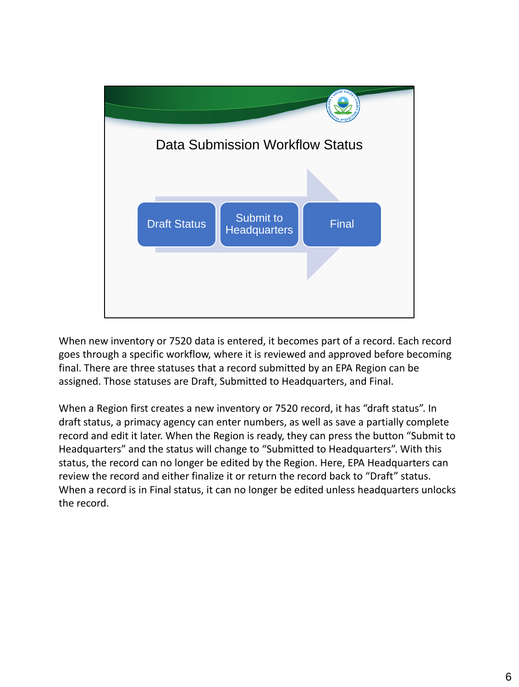

When new inventory or 7520 data is entered, it becomes part of a record. Each record goes through a specific workflow, where it is reviewed and approved before becoming final. There are three statuses that a record submitted by an EPA Region can be assigned. Those statuses are Draft, Submitted to Headquarters, and Final.

When a Region first creates a new inventory or 7520 record, it has "draft status". In draft status, a primacy agency can enter numbers, as well as save a partially complete record and edit it later. When the Region is ready, they can press the button "Submit to Headquarters" and the status will change to "Submitted to Headquarters". With this status, the record can no longer be edited by the Region. Here, EPA Headquarters can review the record and either finalize it or return the record back to "Draft" status. When a record is in Final status, it can no longer be edited unless headquarters unlocks the record.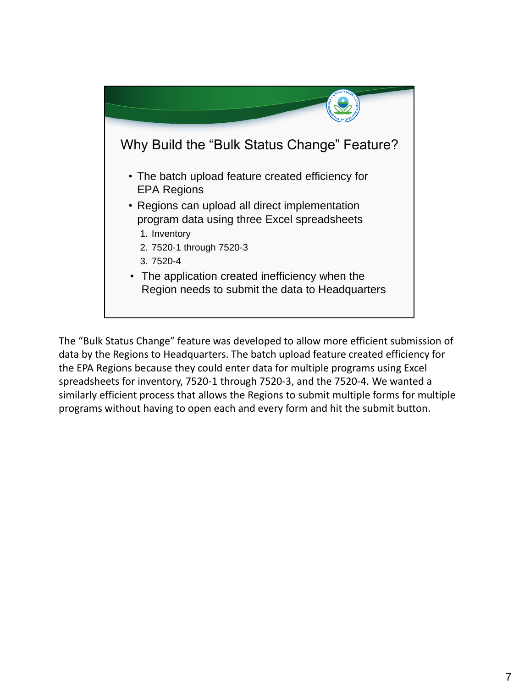

The "Bulk Status Change" feature was developed to allow more efficient submission of data by the Regions to Headquarters. The batch upload feature created efficiency for the EPA Regions because they could enter data for multiple programs using Excel spreadsheets for inventory, 7520-1 through 7520-3, and the 7520-4. We wanted a similarly efficient process that allows the Regions to submit multiple forms for multiple programs without having to open each and every form and hit the submit button.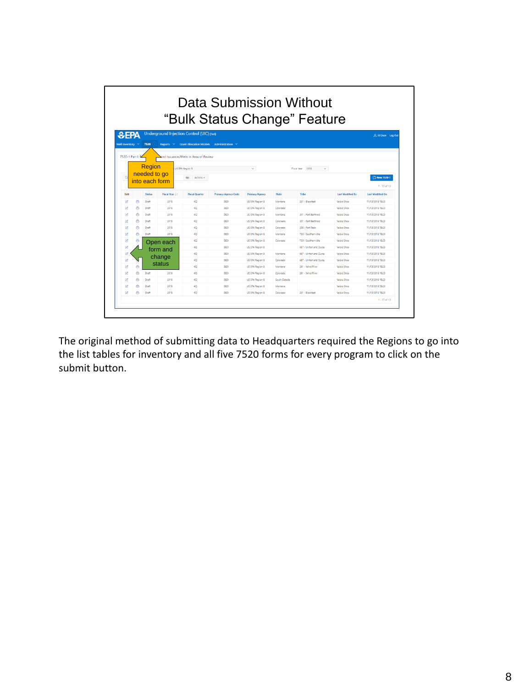| Data Submission Without<br>"Bulk Status Change" Feature |                                                                          |                                            |                                          |                            |                        |              |                         |                         |                         |
|---------------------------------------------------------|--------------------------------------------------------------------------|--------------------------------------------|------------------------------------------|----------------------------|------------------------|--------------|-------------------------|-------------------------|-------------------------|
| $E$ EPA                                                 |                                                                          | Underground Injection Control (UIC) (Test) |                                          |                            |                        |              |                         |                         | R. Jil Dean Log Out     |
| <b>Well Inventory</b>                                   |                                                                          | 7520<br>Reports V                          | Grant Allocation Models Administration V |                            |                        |              |                         |                         |                         |
|                                                         |                                                                          |                                            |                                          |                            |                        |              |                         |                         |                         |
|                                                         | 7520-1 Part I: P                                                         |                                            | and Issuance/Wells in Area of Review     |                            |                        |              |                         |                         |                         |
|                                                         | Region<br>US EPA Region 8<br>$\mathcal{L}$<br>Fiscal Year 2018<br>$\sim$ |                                            |                                          |                            |                        |              |                         |                         |                         |
|                                                         |                                                                          | needed to go                               |                                          |                            |                        |              |                         |                         |                         |
| $\alpha$                                                |                                                                          | into each form                             | Actions $\vee$<br>Go                     |                            |                        |              |                         |                         | 2 New 7520-1            |
|                                                         |                                                                          |                                            |                                          |                            |                        |              |                         |                         | $1 - 15$ of 15          |
| Edit                                                    |                                                                          | <b>Status</b><br><b>Fiscal Year LF</b>     | <b>Fiscal Quarter</b>                    | <b>Primacy Agency Code</b> | <b>Primacy Agency</b>  | <b>State</b> | Tribe                   | <b>Last Modified By</b> | <b>Last Modified On</b> |
| Ø                                                       | ē                                                                        | Draft<br>2018                              | 40                                       | <b>OSDI</b>                | US EPA Region 8        | Montana      | 201 - Blackfeet         | Valois Shea             | 11/13/2018 18:23        |
| ø                                                       | e                                                                        | Draft<br>2018                              | 40 <sup>°</sup>                          | <b>GSDI</b>                | US EPA Region 8        | Colorado     |                         | Valois Shea             | 11/13/2018 18:23        |
| œ                                                       | 鬲                                                                        | Draft<br>2018                              | 40                                       | <b>OBDI</b>                | US EPA Region 8        | Montana      | 301 - Fort Berthold     | Valois Shea             | 11/13/2018 18:23        |
| CØ.                                                     | ê                                                                        | Draft<br>2018                              | 40                                       | <b>GSDI</b>                | <b>US EPA Region 8</b> | Colorado     | 301 - Fort Berthold     | <b>Valois Shea</b>      | 11/13/2018 18:23        |
| Ø.                                                      | ē                                                                        | Draft<br>2018                              | 40                                       | ORDE                       | US EPA Region 8        | Colorado     | 206 - Fort Peck         | <b>Valois Shea</b>      | 11/13/2018 18:23        |
|                                                         | e                                                                        | Draft<br>2018                              | 4Q                                       | <b>GSDI</b>                | US EPA Region 8        | Montana      | 750 - Southern Ute      | Valois Shea             | 11/13/2018 18:23        |
| ø                                                       | e                                                                        | Open each                                  | 40                                       | <b>OBDI</b>                | US EPA Region 8        | Colorado     | 750 - Southern Ute      | Valois Shea             | 11/13/2018 18:23        |
| œ                                                       |                                                                          | form and                                   | 40                                       | 08D1                       | US EPA Region 8        |              | 687 - Ulintah and Ouray | Valois Shea             | 11/13/2018 18:23        |
| Ø                                                       |                                                                          |                                            | 40                                       | <b>GROV</b>                | US EPA Region 8        | Montana      | 687 - Ulntah and Ouray  | <b>Valgic Shea</b>      | 11/13/2018 18:23        |
| Ø                                                       |                                                                          |                                            |                                          |                            |                        |              |                         | Valois Shea             | 11/13/2018 18:23        |
| Ø                                                       |                                                                          | change                                     | 4Q                                       | <b>CSCI</b>                | US EPA Region 8        | Colorado     | 687 - Ulntah and Ouray  |                         |                         |
| œ                                                       | ē                                                                        | status                                     | 40                                       | ORDI                       | US EPA Region 8        | Montana      | 281 - Wind River        | Valois Shea             | 11/13/2018 18:23        |
| ø                                                       | A                                                                        | Draft<br>2018                              | 4Q                                       | <b>OSDI</b>                | US EPA Region 8        | Colorado     | 281 - Wind River        | Valois Shea             | 11/13/2018 18:23        |
|                                                         | A                                                                        | Draft<br>2018                              | 40                                       | OROL                       | US EPA Region 8        | South Dakota |                         | <b>Valois Shea</b>      | 11/13/2018 18:23        |
|                                                         | A                                                                        | Draft<br>2018                              | 40 <sup>°</sup>                          | <b>GSDI</b>                | US EPA Region 8        | Montana      |                         | Valois Shea             | 11/13/2018 18:23        |

The original method of submitting data to Headquarters required the Regions to go into the list tables for inventory and all five 7520 forms for every program to click on the submit button.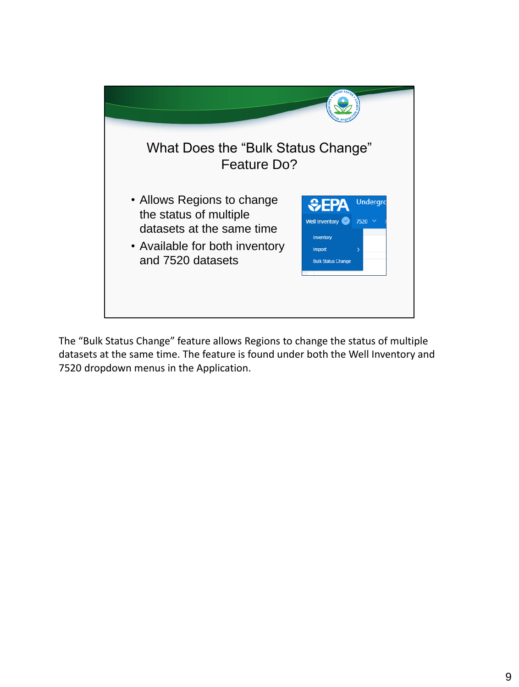

The "Bulk Status Change" feature allows Regions to change the status of multiple datasets at the same time. The feature is found under both the Well Inventory and 7520 dropdown menus in the Application.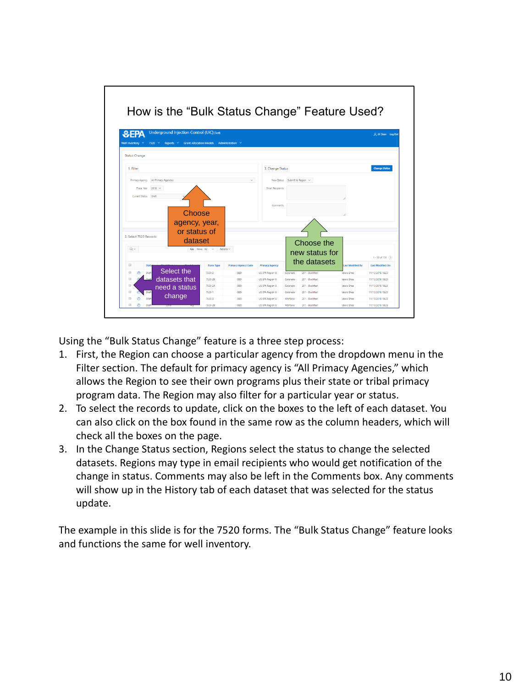

Using the "Bulk Status Change" feature is a three step process:

- 1. First, the Region can choose a particular agency from the dropdown menu in the Filter section. The default for primacy agency is "All Primacy Agencies," which allows the Region to see their own programs plus their state or tribal primacy program data. The Region may also filter for a particular year or status.
- 2. To select the records to update, click on the boxes to the left of each dataset. You can also click on the box found in the same row as the column headers, which will check all the boxes on the page.
- 3. In the Change Status section, Regions select the status to change the selected datasets. Regions may type in email recipients who would get notification of the change in status. Comments may also be left in the Comments box. Any comments will show up in the History tab of each dataset that was selected for the status update.

The example in this slide is for the 7520 forms. The "Bulk Status Change" feature looks and functions the same for well inventory.